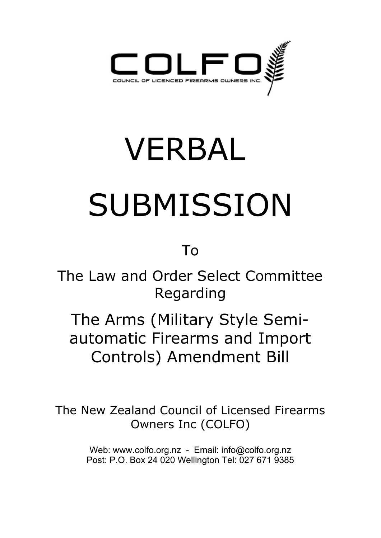

# VERBAL

# SUBMISSION

To

The Law and Order Select Committee Regarding

The Arms (Military Style Semiautomatic Firearms and Import Controls) Amendment Bill

The New Zealand Council of Licensed Firearms Owners Inc (COLFO)

> Web: www.colfo.org.nz - Email: info@colfo.org.nz Post: P.O. Box 24 020 Wellington Tel: 027 671 9385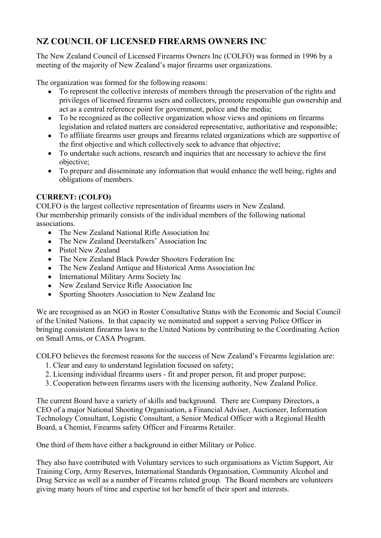## **NZ COUNCIL OF LICENSED FIREARMS OWNERS INC**

The New Zealand Council of Licensed Firearms Owners Inc (COLFO) was formed in 1996 by a meeting of the majority of New Zealand's major firearms user organizations.

The organization was formed for the following reasons:

- To represent the collective interests of members through the preservation of the rights and privileges of licensed firearms users and collectors, promote responsible gun ownership and act as a central reference point for government, police and the media;
- To be recognized as the collective organization whose views and opinions on firearms legislation and related matters are considered representative, authoritative and responsible;
- To affiliate firearms user groups and firearms related organizations which are supportive of the first objective and which collectively seek to advance that objective;
- To undertake such actions, research and inquiries that are necessary to achieve the first objective;
- To prepare and disseminate any information that would enhance the well being, rights and obligations of members.

#### **CURRENT: (COLFO)**

COLFO is the largest collective representation of firearms users in New Zealand. Our membership primarily consists of the individual members of the following national associations.

- The New Zealand National Rifle Association Inc
- The New Zealand Deerstalkers' Association Inc
- Pistol New Zealand
- The New Zealand Black Powder Shooters Federation Inc
- The New Zealand Antique and Historical Arms Association Inc
- International Military Arms Society Inc
- New Zealand Service Rifle Association Inc
- Sporting Shooters Association to New Zealand Inc

We are recognised as an NGO in Roster Consultative Status with the Economic and Social Council of the United Nations. In that capacity we nominated and support a serving Police Officer in bringing consistent firearms laws to the United Nations by contributing to the Coordinating Action on Small Arms, or CASA Program.

COLFO believes the foremost reasons for the success of New Zealand's Firearms legislation are:

- 1. Clear and easy to understand legislation focused on safety;
- 2. Licensing individual firearms users fit and proper person, fit and proper purpose;
- 3. Cooperation between firearms users with the licensing authority, New Zealand Police.

The current Board have a variety of skills and background. There are Company Directors, a CEO of a major National Shooting Organisation, a Financial Adviser, Auctioneer, Information Technology Consultant, Logistic Consultant, a Senior Medical Officer with a Regional Health Board, a Chemist, Firearms safety Officer and Firearms Retailer.

One third of them have either a background in either Military or Police.

They also have contributed with Voluntary services to such organisations as Victim Support, Air Training Corp, Army Reserves, International Standards Organisation, Community Alcohol and Drug Service as well as a number of Firearms related group. The Board members are volunteers giving many hours of time and expertise tot her benefit of their sport and interests.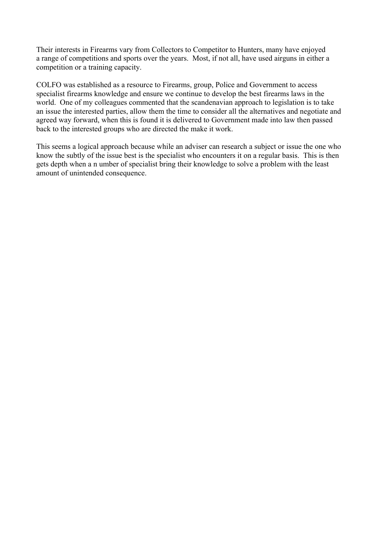Their interests in Firearms vary from Collectors to Competitor to Hunters, many have enjoyed a range of competitions and sports over the years. Most, if not all, have used airguns in either a competition or a training capacity.

COLFO was established as a resource to Firearms, group, Police and Government to access specialist firearms knowledge and ensure we continue to develop the best firearms laws in the world. One of my colleagues commented that the scandenavian approach to legislation is to take an issue the interested parties, allow them the time to consider all the alternatives and negotiate and agreed way forward, when this is found it is delivered to Government made into law then passed back to the interested groups who are directed the make it work.

This seems a logical approach because while an adviser can research a subject or issue the one who know the subtly of the issue best is the specialist who encounters it on a regular basis. This is then gets depth when a n umber of specialist bring their knowledge to solve a problem with the least amount of unintended consequence.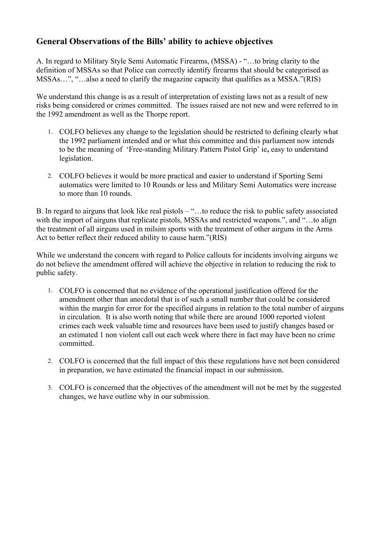### **General Observations of the Bills' ability to achieve objectives**

A. In regard to Military Style Semi Automatic Firearms, (MSSA) - "…to bring clarity to the definition of MSSAs so that Police can correctly identify firearms that should be categorised as MSSAs…", "…also a need to clarify the magazine capacity that qualifies as a MSSA."(RIS)

We understand this change is as a result of interpretation of existing laws not as a result of new risks being considered or crimes committed. The issues raised are not new and were referred to in the 1992 amendment as well as the Thorpe report.

- 1. COLFO believes any change to the legislation should be restricted to defining clearly what the 1992 parliament intended and or what this committee and this parliament now intends to be the meaning of 'Free-standing Military Pattern Pistol Grip' ie**,** easy to understand legislation.
- 2. COLFO believes it would be more practical and easier to understand if Sporting Semi automatics were limited to 10 Rounds or less and Military Semi Automatics were increase to more than 10 rounds.

B. In regard to airguns that look like real pistols – "…to reduce the risk to public safety associated with the import of airguns that replicate pistols, MSSAs and restricted weapons.", and "...to align the treatment of all airguns used in milsim sports with the treatment of other airguns in the Arms Act to better reflect their reduced ability to cause harm."(RIS)

While we understand the concern with regard to Police callouts for incidents involving airguns we do not believe the amendment offered will achieve the objective in relation to reducing the risk to public safety.

- 1. COLFO is concerned that no evidence of the operational justification offered for the amendment other than anecdotal that is of such a small number that could be considered within the margin for error for the specified airguns in relation to the total number of airguns in circulation. It is also worth noting that while there are around 1000 reported violent crimes each week valuable time and resources have been used to justify changes based or an estimated 1 non violent call out each week where there in fact may have been no crime committed.
- 2. COLFO is concerned that the full impact of this these regulations have not been considered in preparation, we have estimated the financial impact in our submission.
- 3. COLFO is concerned that the objectives of the amendment will not be met by the suggested changes, we have outline why in our submission.